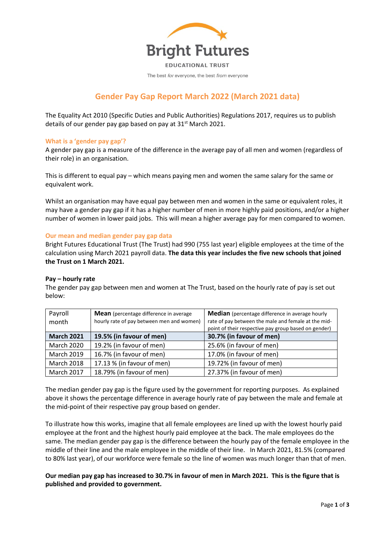

The best for everyone, the best from everyone

# **Gender Pay Gap Report March 2022 (March 2021 data)**

The Equality Act 2010 (Specific Duties and Public Authorities) Regulations 2017, requires us to publish details of our gender pay gap based on pay at  $31<sup>st</sup>$  March 2021.

# **What is a 'gender pay gap'?**

A gender pay gap is a measure of the difference in the average pay of all men and women (regardless of their role) in an organisation.

This is different to equal pay – which means paying men and women the same salary for the same or equivalent work.

Whilst an organisation may have equal pay between men and women in the same or equivalent roles, it may have a gender pay gap if it has a higher number of men in more highly paid positions, and/or a higher number of women in lower paid jobs. This will mean a higher average pay for men compared to women.

### **Our mean and median gender pay gap data**

Bright Futures Educational Trust (The Trust) had 990 (755 last year) eligible employees at the time of the calculation using March 2021 payroll data. **The data this year includes the five new schools that joined the Trust on 1 March 2021.** 

#### **Pay – hourly rate**

The gender pay gap between men and women at The Trust, based on the hourly rate of pay is set out below:

| Payroll           | <b>Mean</b> (percentage difference in average | <b>Median</b> (percentage difference in average hourly                                                      |
|-------------------|-----------------------------------------------|-------------------------------------------------------------------------------------------------------------|
| month             | hourly rate of pay between men and women)     | rate of pay between the male and female at the mid-<br>point of their respective pay group based on gender) |
| <b>March 2021</b> | 19.5% (in favour of men)                      | 30.7% (in favour of men)                                                                                    |
| <b>March 2020</b> | 19.2% (in favour of men)                      | 25.6% (in favour of men)                                                                                    |
| <b>March 2019</b> | 16.7% (in favour of men)                      | 17.0% (in favour of men)                                                                                    |
| <b>March 2018</b> | 17.13 % (in favour of men)                    | 19.72% (in favour of men)                                                                                   |
| <b>March 2017</b> | 18.79% (in favour of men)                     | 27.37% (in favour of men)                                                                                   |

The median gender pay gap is the figure used by the government for reporting purposes. As explained above it shows the percentage difference in average hourly rate of pay between the male and female at the mid-point of their respective pay group based on gender.

To illustrate how this works, imagine that all female employees are lined up with the lowest hourly paid employee at the front and the highest hourly paid employee at the back. The male employees do the same. The median gender pay gap is the difference between the hourly pay of the female employee in the middle of their line and the male employee in the middle of their line. In March 2021, 81.5% (compared to 80% last year), of our workforce were female so the line of women was much longer than that of men.

**Our median pay gap has increased to 30.7% in favour of men in March 2021. This is the figure that is published and provided to government.**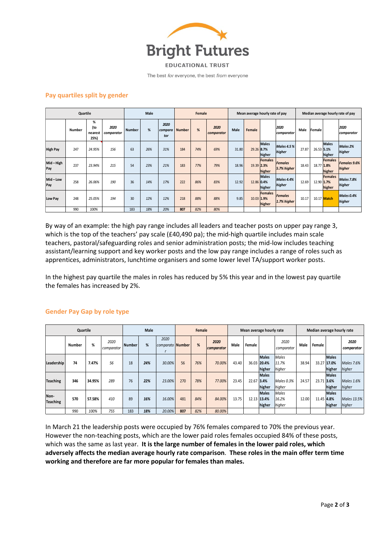

The best for everyone, the best from everyone

# **Pay quartiles split by gender**

| Quartile        |        |                             |                    | Male          |     |                        | Female        |     |                    |       | Mean average hourly rate of pay | Median average hourly rate of pay |                               |       |        |                                        |                             |
|-----------------|--------|-----------------------------|--------------------|---------------|-----|------------------------|---------------|-----|--------------------|-------|---------------------------------|-----------------------------------|-------------------------------|-------|--------|----------------------------------------|-----------------------------|
|                 | Number | %<br>(to<br>nearest<br>25%) | 2020<br>comparator | <b>Number</b> | %   | 2020<br>compara<br>tor | <b>Number</b> | %   | 2020<br>comparator | Male  | Female                          |                                   | 2020<br>comparator            | Male  | Female |                                        | 2020<br>comparator          |
| <b>High Pay</b> | 247    | 24.95%                      | 156                | 63            | 26% | 31%                    | 184           | 74% | 69%                | 31.80 | 29.26 8.7%                      | <b>Males</b><br>higher            | <b>Males 4.5%</b><br>higher   | 27.87 |        | <b>Males</b><br>26.53 5.1%<br>higher   | Males 2%<br>higher          |
| Mid-High<br>Pay | 237    | 23.94%                      | 215                | 54            | 23% | 21%                    | 183           | 77% | 79%                | 18.96 | 19.39 2.3%                      | Females<br>higher                 | <b>Females</b><br>5.7% higher | 18.43 |        | <b>Females</b><br>18.77 1.8%<br>higher | Females 9.6%<br>higher      |
| Mid-Low<br>Pay  | 258    | 26.06%                      | 190                | 36            | 14% | 17%                    | 222           | 86% | 83%                | 12.92 | 12.86 0.4%                      | <b>Males</b><br>higher            | <b>Males 4.4%</b><br>higher   | 12.69 |        | <b>Females</b><br>12.90 1.7%<br>higher | <b>Males 7.8%</b><br>higher |
| Low Pay         | 248    | 25.05%                      | 194                | 30            | 12% | 12%                    | 218           | 88% | 88%                | 9.85  | 10.03 1.9%                      | Females<br>higher                 | <b>Females</b><br>1.7% higher | 10.17 |        | 10.17 Match                            | Males 0.4%<br>higher        |
|                 | 990    | 100%                        |                    | 183           | 18% | 20%                    | 807           | 82% | 80%                |       |                                 |                                   |                               |       |        |                                        |                             |

By way of an example: the high pay range includes all leaders and teacher posts on upper pay range 3, which is the top of the teachers' pay scale (£40,490 pa); the mid-high quartile includes main scale teachers, pastoral/safeguarding roles and senior administration posts; the mid-low includes teaching assistant/learning support and key worker posts and the low pay range includes a range of roles such as apprentices, administrators, lunchtime organisers and some lower level TA/support worker posts.

In the highest pay quartile the males in roles has reduced by 5% this year and in the lowest pay quartile the females has increased by 2%.

| Quartile                |               |        |                    | <b>Male</b>   |     |                          | Female |     |                    | Mean average hourly rate |        |                                       |                                 | Median average hourly rate |            |                                       |                             |
|-------------------------|---------------|--------|--------------------|---------------|-----|--------------------------|--------|-----|--------------------|--------------------------|--------|---------------------------------------|---------------------------------|----------------------------|------------|---------------------------------------|-----------------------------|
|                         | <b>Number</b> | %      | 2020<br>comparator | <b>Number</b> | %   | 2020<br>comparato Number |        | %   | 2020<br>comparator | Male                     | Female |                                       | 2020<br>comparator              | Male                       | Female     |                                       | 2020<br>comparator          |
| Leadership              | 74            | 7.47%  | 56                 | 18            | 24% | 30.00%                   | 56     | 76% | 70.00%             | 43.40                    |        | <b>Males</b><br>36.03 20.4%<br>higher | <b>Males</b><br>11.7%<br>higher | 38.94                      |            | <b>Males</b><br>33.27 17.0%<br>higher | Males 7.6%<br>higher        |
| <b>Teaching</b>         | 346           | 34.95% | 289                | 76            | 22% | 23.00%                   | 270    | 78% | 77.00%             | 23.45                    | 22.67  | <b>Males</b><br>3.4%<br>higher        | Males 0.3%<br>higher            | 24.57                      | 23.71      | <b>Males</b><br>3.6%<br>higher        | <b>Males 1.6%</b><br>higher |
| Non-<br><b>Teaching</b> | 570           | 57.58% | 410                | 89            | 16% | 16.00%                   | 481    | 84% | 84.00%             | 13.75                    |        | <b>Males</b><br>12.13 13.4%<br>higher | <b>Males</b><br>16.2%<br>higher | 12.00                      | 11.45 4.8% | <b>Males</b><br>higher                | Males 13.5%<br>higher       |
|                         | 990           | 100%   | 755                | 183           | 18% | 20.00%                   | 807    | 82% | 80.00%             |                          |        |                                       |                                 |                            |            |                                       |                             |

# **Gender Pay Gap by role type**

In March 21 the leadership posts were occupied by 76% females compared to 70% the previous year. However the non-teaching posts, which are the lower paid roles females occupied 84% of these posts, which was the same as last year. **It is the large number of females in the lower paid roles, which adversely affects the median average hourly rate comparison**. **These roles in the main offer term time working and therefore are far more popular for females than males.**